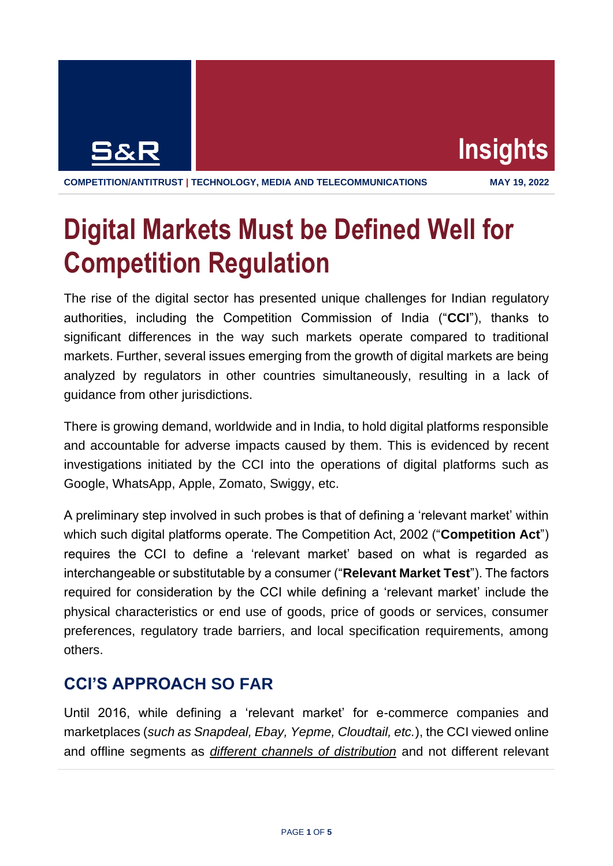



## **Digital Markets Must be Defined Well for Competition Regulation**

The rise of the digital sector has presented unique challenges for Indian regulatory authorities, including the Competition Commission of India ("**CCI**"), thanks to significant differences in the way such markets operate compared to traditional markets. Further, several issues emerging from the growth of digital markets are being analyzed by regulators in other countries simultaneously, resulting in a lack of guidance from other jurisdictions.

There is growing demand, worldwide and in India, to hold digital platforms responsible and accountable for adverse impacts caused by them. This is evidenced by recent investigations initiated by the CCI into the operations of digital platforms such as Google, WhatsApp, Apple, Zomato, Swiggy, etc.

A preliminary step involved in such probes is that of defining a 'relevant market' within which such digital platforms operate. The Competition Act, 2002 ("**Competition Act**") requires the CCI to define a 'relevant market' based on what is regarded as interchangeable or substitutable by a consumer ("**Relevant Market Test**"). The factors required for consideration by the CCI while defining a 'relevant market' include the physical characteristics or end use of goods, price of goods or services, consumer preferences, regulatory trade barriers, and local specification requirements, among others.

## **CCI'S APPROACH SO FAR**

Until 2016, while defining a 'relevant market' for e-commerce companies and marketplaces (*such as Snapdeal, Ebay, Yepme, Cloudtail, etc.*), the CCI viewed online and offline segments as *different channels of distribution* and not different relevant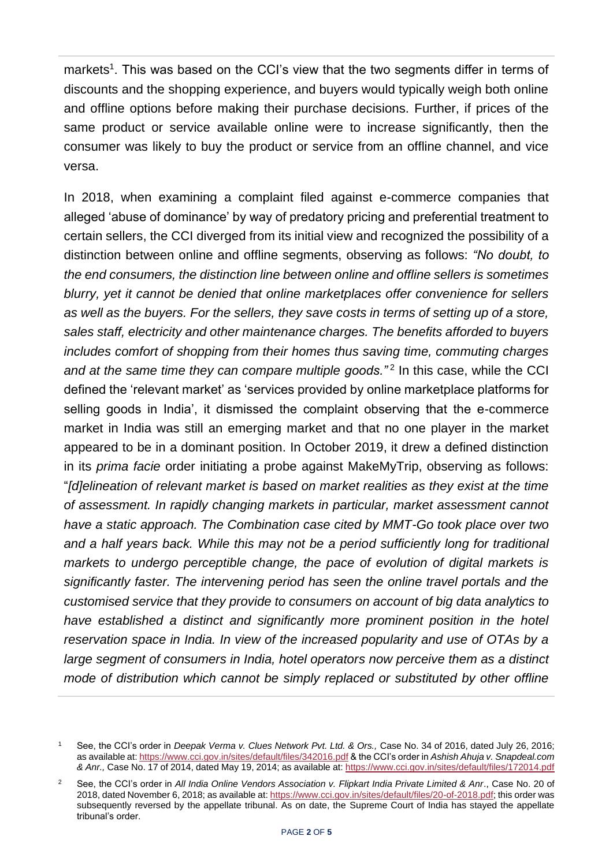markets<sup>1</sup>. This was based on the CCI's view that the two segments differ in terms of discounts and the shopping experience, and buyers would typically weigh both online and offline options before making their purchase decisions. Further, if prices of the same product or service available online were to increase significantly, then the consumer was likely to buy the product or service from an offline channel, and vice versa.

In 2018, when examining a complaint filed against e-commerce companies that alleged 'abuse of dominance' by way of predatory pricing and preferential treatment to certain sellers, the CCI diverged from its initial view and recognized the possibility of a distinction between online and offline segments, observing as follows: *"No doubt, to the end consumers, the distinction line between online and offline sellers is sometimes blurry, yet it cannot be denied that online marketplaces offer convenience for sellers as well as the buyers. For the sellers, they save costs in terms of setting up of a store, sales staff, electricity and other maintenance charges. The benefits afforded to buyers includes comfort of shopping from their homes thus saving time, commuting charges*  and at the same time they can compare multiple goods."<sup>2</sup> In this case, while the CCI defined the 'relevant market' as 'services provided by online marketplace platforms for selling goods in India', it dismissed the complaint observing that the e-commerce market in India was still an emerging market and that no one player in the market appeared to be in a dominant position. In October 2019, it drew a defined distinction in its *prima facie* order initiating a probe against MakeMyTrip, observing as follows: "*[d]elineation of relevant market is based on market realities as they exist at the time of assessment. In rapidly changing markets in particular, market assessment cannot have a static approach. The Combination case cited by MMT-Go took place over two and a half years back. While this may not be a period sufficiently long for traditional markets to undergo perceptible change, the pace of evolution of digital markets is significantly faster. The intervening period has seen the online travel portals and the customised service that they provide to consumers on account of big data analytics to have established a distinct and significantly more prominent position in the hotel reservation space in India. In view of the increased popularity and use of OTAs by a large segment of consumers in India, hotel operators now perceive them as a distinct mode of distribution which cannot be simply replaced or substituted by other offline* 

<sup>1</sup> See, the CCI's order in *Deepak Verma v. Clues Network Pvt. Ltd. & Ors.,* Case No. 34 of 2016, dated July 26, 2016; as available at[: https://www.cci.gov.in/sites/default/files/342016.pdf](https://www.cci.gov.in/sites/default/files/342016.pdf) & the CCI's order in *Ashish Ahuja v. Snapdeal.com & Anr.,* Case No. 17 of 2014, dated May 19, 2014; as available at[: https://www.cci.gov.in/sites/default/files/172014.pdf](https://www.cci.gov.in/sites/default/files/172014.pdf)

<sup>2</sup> See, the CCI's order in *All India Online Vendors Association v. Flipkart India Private Limited & Anr*., Case No. 20 of 2018, dated November 6, 2018; as available at[: https://www.cci.gov.in/sites/default/files/20-of-2018.pdf;](https://www.cci.gov.in/sites/default/files/20-of-2018.pdf) this order was subsequently reversed by the appellate tribunal. As on date, the Supreme Court of India has stayed the appellate tribunal's order.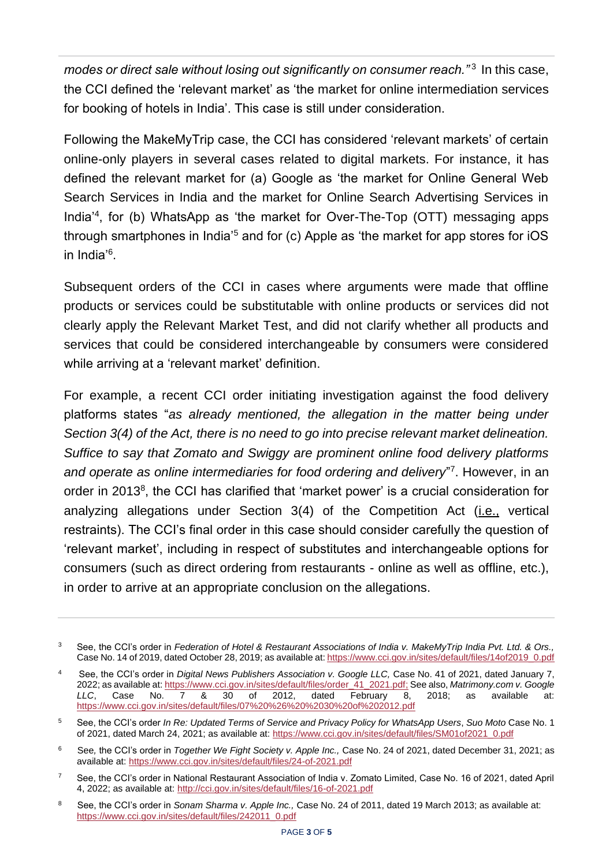modes or direct sale without losing out significantly on consumer reach."<sup>3</sup> In this case, the CCI defined the 'relevant market' as 'the market for online intermediation services for booking of hotels in India'. This case is still under consideration.

Following the MakeMyTrip case, the CCI has considered 'relevant markets' of certain online-only players in several cases related to digital markets. For instance, it has defined the relevant market for (a) Google as 'the market for Online General Web Search Services in India and the market for Online Search Advertising Services in India'<sup>4</sup> , for (b) WhatsApp as 'the market for Over-The-Top (OTT) messaging apps through smartphones in India<sup>'5</sup> and for  $(c)$  Apple as 'the market for app stores for  $iOS$ in India'<sup>6</sup> .

Subsequent orders of the CCI in cases where arguments were made that offline products or services could be substitutable with online products or services did not clearly apply the Relevant Market Test, and did not clarify whether all products and services that could be considered interchangeable by consumers were considered while arriving at a 'relevant market' definition.

For example, a recent CCI order initiating investigation against the food delivery platforms states "*as already mentioned, the allegation in the matter being under Section 3(4) of the Act, there is no need to go into precise relevant market delineation. Suffice to say that Zomato and Swiggy are prominent online food delivery platforms*  and operate as online intermediaries for food ordering and delivery"<sup>7</sup>. However, in an order in 2013<sup>8</sup>, the CCI has clarified that 'market power' is a crucial consideration for analyzing allegations under Section 3(4) of the Competition Act (*i.e.*, vertical restraints). The CCI's final order in this case should consider carefully the question of 'relevant market', including in respect of substitutes and interchangeable options for consumers (such as direct ordering from restaurants - online as well as offline, etc.), in order to arrive at an appropriate conclusion on the allegations.

<sup>3</sup> See, the CCI's order in *Federation of Hotel & Restaurant Associations of India v. MakeMyTrip India Pvt. Ltd. & Ors.,*  Case No. 14 of 2019, dated October 28, 2019; as available at[: https://www.cci.gov.in/sites/default/files/14of2019\\_0.pdf](https://www.cci.gov.in/sites/default/files/14of2019_0.pdf)

<sup>4</sup> See, the CCI's order in *Digital News Publishers Association v. Google LLC,* Case No. 41 of 2021, dated January 7, 2022; as available at: [https://www.cci.gov.in/sites/default/files/order\\_41\\_2021.pdf;](https://www.cci.gov.in/sites/default/files/order_41_2021.pdf) See also, *Matrimony.com v. Google LLC*, Case No. 7 & 30 of 2012, dated February 8, 2018; as available at: <https://www.cci.gov.in/sites/default/files/07%20%26%20%2030%20of%202012.pdf>

<sup>5</sup> See, the CCI's order *In Re: Updated Terms of Service and Privacy Policy for WhatsApp Users*, *Suo Moto* Case No. 1 of 2021, dated March 24, 2021; as available at: [https://www.cci.gov.in/sites/default/files/SM01of2021\\_0.pdf](https://www.cci.gov.in/sites/default/files/SM01of2021_0.pdf)

<sup>6</sup> See*,* the CCI's order in *Together We Fight Society v. Apple Inc.,* Case No. 24 of 2021, dated December 31, 2021; as available at:<https://www.cci.gov.in/sites/default/files/24-of-2021.pdf>

<sup>&</sup>lt;sup>7</sup> See, the CCI's order in National Restaurant Association of India v. Zomato Limited, Case No. 16 of 2021, dated April 4, 2022; as available at:<http://cci.gov.in/sites/default/files/16-of-2021.pdf>

<sup>8</sup> See, the CCI's order in *Sonam Sharma v. Apple Inc.,* Case No. 24 of 2011, dated 19 March 2013; as available at: [https://www.cci.gov.in/sites/default/files/242011\\_0.pdf](https://www.cci.gov.in/sites/default/files/242011_0.pdf)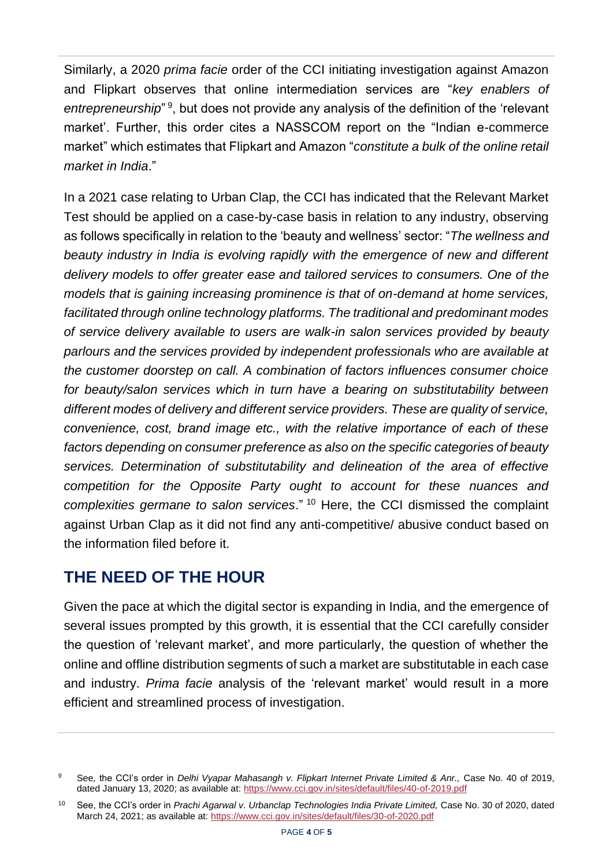Similarly, a 2020 *prima facie* order of the CCI initiating investigation against Amazon and Flipkart observes that online intermediation services are "*key enablers of*  entrepreneurship<sup>" 9</sup>, but does not provide any analysis of the definition of the 'relevant market'. Further, this order cites a NASSCOM report on the "Indian e-commerce market" which estimates that Flipkart and Amazon "*constitute a bulk of the online retail market in India*."

In a 2021 case relating to Urban Clap, the CCI has indicated that the Relevant Market Test should be applied on a case-by-case basis in relation to any industry, observing as follows specifically in relation to the 'beauty and wellness' sector: "*The wellness and beauty industry in India is evolving rapidly with the emergence of new and different delivery models to offer greater ease and tailored services to consumers. One of the models that is gaining increasing prominence is that of on-demand at home services, facilitated through online technology platforms. The traditional and predominant modes of service delivery available to users are walk-in salon services provided by beauty parlours and the services provided by independent professionals who are available at the customer doorstep on call. A combination of factors influences consumer choice for beauty/salon services which in turn have a bearing on substitutability between different modes of delivery and different service providers. These are quality of service, convenience, cost, brand image etc., with the relative importance of each of these factors depending on consumer preference as also on the specific categories of beauty services. Determination of substitutability and delineation of the area of effective competition for the Opposite Party ought to account for these nuances and complexities germane to salon services*." <sup>10</sup> Here, the CCI dismissed the complaint against Urban Clap as it did not find any anti-competitive/ abusive conduct based on the information filed before it.

## **THE NEED OF THE HOUR**

Given the pace at which the digital sector is expanding in India, and the emergence of several issues prompted by this growth, it is essential that the CCI carefully consider the question of 'relevant market', and more particularly, the question of whether the online and offline distribution segments of such a market are substitutable in each case and industry. *Prima facie* analysis of the 'relevant market' would result in a more efficient and streamlined process of investigation.

<sup>9</sup> See*,* the CCI's order in *Delhi Vyapar Mahasangh v. Flipkart Internet Private Limited & Anr.,* Case No. 40 of 2019, dated January 13, 2020; as available at:<https://www.cci.gov.in/sites/default/files/40-of-2019.pdf>

<sup>10</sup> See, the CCI's order in *Prachi Agarwal v. Urbanclap Technologies India Private Limited,* Case No. 30 of 2020, dated March 24, 2021; as available at:<https://www.cci.gov.in/sites/default/files/30-of-2020.pdf>